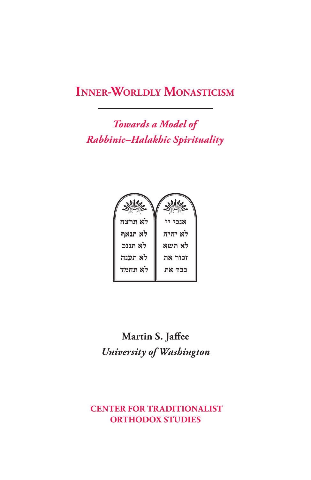# **Inner-Worldly Monasticism**

*Towards a Model of Rabbinic–Halakhic Spirituality*



**Martin S. Jaffee** *University of Washington*

## **CENTER FOR TRADITIONALIST ORTHODOX STUDIES**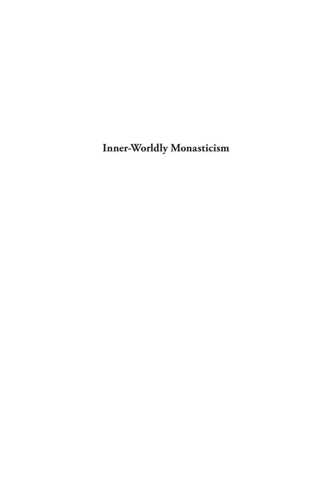**Inner-Worldly Monasticism**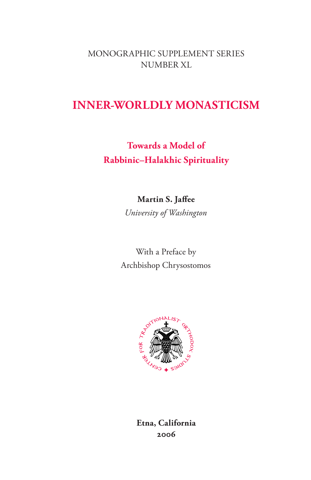MONOGRAPHIC SUPPLEMENT SERIES NUMBER XL

# **INNER-WORLDLY MONASTICISM**

**Towards a Model of Rabbinic–Halakhic Spirituality**

**Martin S. Jaffee**

*University of Washington*

With a Preface by Archbishop Chrysostomos



**Etna, California 2006**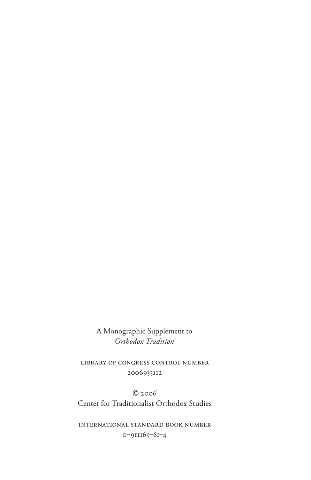A Monographic Supplement to *Orthodox Tradition*

Library of Congress Control Number 2006933112

© 2006 Center for Traditionalist Orthodox Studies

International Standard Book Number 0‒911165‒61‒4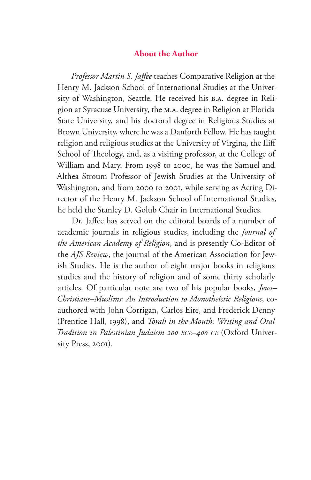#### **About the Author**

*Professor Martin S. Jaffee* teaches Comparative Religion at the Henry M. Jackson School of International Studies at the University of Washington, Seattle. He received his B.A. degree in Religion at Syracuse University, the M.A. degree in Religion at Florida State University, and his doctoral degree in Religious Studies at Brown University, where he was a Danforth Fellow. He has taught religion and religious studies at the University of Virgina, the Iliff School of Theology, and, as a visiting professor, at the College of William and Mary. From 1998 to 2000, he was the Samuel and Althea Stroum Professor of Jewish Studies at the University of Washington, and from 2000 to 2001, while serving as Acting Director of the Henry M. Jackson School of International Studies, he held the Stanley D. Golub Chair in International Studies.

Dr. Jaffee has served on the editoral boards of a number of academic journals in religious studies, including the *Journal of the American Academy of Religion*, and is presently Co-Editor of the *AJS Review*, the journal of the American Association for Jewish Studies. He is the author of eight major books in religious studies and the history of religion and of some thirty scholarly articles. Of particular note are two of his popular books, *Jews– Christians–Muslims: An Introduction to Monotheistic Religions*, coauthored with John Corrigan, Carlos Eire, and Frederick Denny (Prentice Hall, 1998), and *Torah in the Mouth: Writing and Oral Tradition in Palestinian Judaism 200 bce–400 ce* (Oxford University Press, 2001).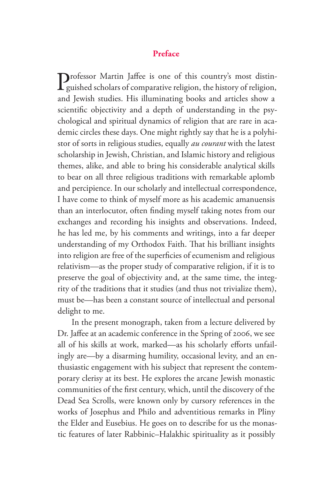#### **Preface**

Professor Martin Jaffee is one of this country's most distin-<br>guished scholars of comparative religion, the history of religion, guished scholars of comparative religion, the history of religion, and Jewish studies. His illuminating books and articles show a scientific objectivity and a depth of understanding in the psychological and spiritual dynamics of religion that are rare in academic circles these days. One might rightly say that he is a polyhistor of sorts in religious studies, equally *au courant* with the latest scholarship in Jewish, Christian, and Islamic history and religious themes, alike, and able to bring his considerable analytical skills to bear on all three religious traditions with remarkable aplomb and percipience. In our scholarly and intellectual correspondence, I have come to think of myself more as his academic amanuensis than an interlocutor, often finding myself taking notes from our exchanges and recording his insights and observations. Indeed, he has led me, by his comments and writings, into a far deeper understanding of my Orthodox Faith. That his brilliant insights into religion are free of the superficies of ecumenism and religious relativism—as the proper study of comparative religion, if it is to preserve the goal of objectivity and, at the same time, the integrity of the traditions that it studies (and thus not trivialize them), must be—has been a constant source of intellectual and personal delight to me.

In the present monograph, taken from a lecture delivered by Dr. Jaffee at an academic conference in the Spring of 2006, we see all of his skills at work, marked—as his scholarly efforts unfailingly are—by a disarming humility, occasional levity, and an enthusiastic engagement with his subject that represent the contemporary clerisy at its best. He explores the arcane Jewish monastic communities of the first century, which, until the discovery of the Dead Sea Scrolls, were known only by cursory references in the works of Josephus and Philo and adventitious remarks in Pliny the Elder and Eusebius. He goes on to describe for us the monastic features of later Rabbinic–Halakhic spirituality as it possibly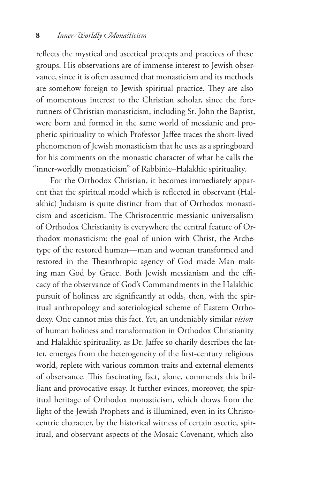reflects the mystical and ascetical precepts and practices of these groups. His observations are of immense interest to Jewish observance, since it is often assumed that monasticism and its methods are somehow foreign to Jewish spiritual practice. They are also of momentous interest to the Christian scholar, since the forerunners of Christian monasticism, including St. John the Baptist, were born and formed in the same world of messianic and prophetic spirituality to which Professor Jaffee traces the short-lived phenomenon of Jewish monasticism that he uses as a springboard for his comments on the monastic character of what he calls the "inner-worldly monasticism" of Rabbinic–Halakhic spirituality.

For the Orthodox Christian, it becomes immediately apparent that the spiritual model which is reflected in observant (Halakhic) Judaism is quite distinct from that of Orthodox monasticism and asceticism. The Christocentric messianic universalism of Orthodox Christianity is everywhere the central feature of Orthodox monasticism: the goal of union with Christ, the Archetype of the restored human—man and woman transformed and restored in the Theanthropic agency of God made Man making man God by Grace. Both Jewish messianism and the efficacy of the observance of God's Commandments in the Halakhic pursuit of holiness are significantly at odds, then, with the spiritual anthropology and soteriological scheme of Eastern Orthodoxy. One cannot miss this fact. Yet, an undeniably similar *vision* of human holiness and transformation in Orthodox Christianity and Halakhic spirituality, as Dr. Jaffee so charily describes the latter, emerges from the heterogeneity of the first-century religious world, replete with various common traits and external elements of observance. This fascinating fact, alone, commends this brilliant and provocative essay. It further evinces, moreover, the spiritual heritage of Orthodox monasticism, which draws from the light of the Jewish Prophets and is illumined, even in its Christocentric character, by the historical witness of certain ascetic, spiritual, and observant aspects of the Mosaic Covenant, which also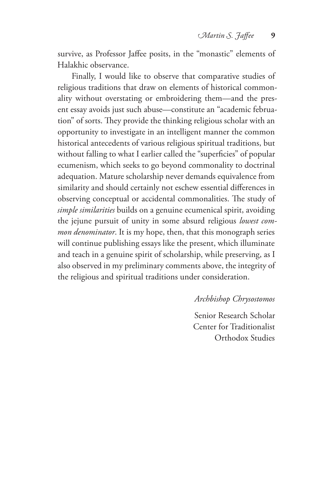survive, as Professor Jaffee posits, in the "monastic" elements of Halakhic observance.

Finally, I would like to observe that comparative studies of religious traditions that draw on elements of historical commonality without overstating or embroidering them—and the present essay avoids just such abuse—constitute an "academic februation" of sorts. They provide the thinking religious scholar with an opportunity to investigate in an intelligent manner the common historical antecedents of various religious spiritual traditions, but without falling to what I earlier called the "superficies" of popular ecumenism, which seeks to go beyond commonality to doctrinal adequation. Mature scholarship never demands equivalence from similarity and should certainly not eschew essential differences in observing conceptual or accidental commonalities. The study of *simple similarities* builds on a genuine ecumenical spirit, avoiding the jejune pursuit of unity in some absurd religious *lowest common denominator*. It is my hope, then, that this monograph series will continue publishing essays like the present, which illuminate and teach in a genuine spirit of scholarship, while preserving, as I also observed in my preliminary comments above, the integrity of the religious and spiritual traditions under consideration.

*Archbishop Chrysostomos*

Senior Research Scholar Center for Traditionalist Orthodox Studies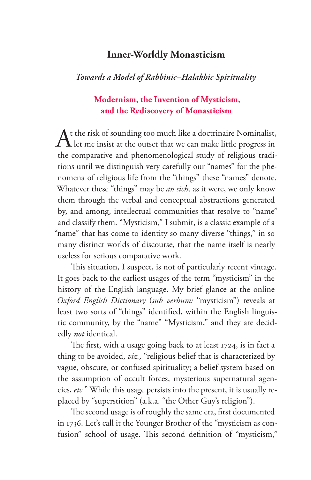## **Inner-Worldly Monasticism**

### *Towards a Model of Rabbinic–Halakhic Spirituality*

### **Modernism, the Invention of Mysticism, and the Rediscovery of Monasticism**

At the risk of sounding too much like a doctrinaire Nominalist,<br>
let me insist at the outset that we can make little progress in the comparative and phenomenological study of religious traditions until we distinguish very carefully our "names" for the phenomena of religious life from the "things" these "names" denote. Whatever these "things" may be *an sich,* as it were, we only know them through the verbal and conceptual abstractions generated by, and among, intellectual communities that resolve to "name" and classify them. "Mysticism," I submit, is a classic example of a "name" that has come to identity so many diverse "things," in so many distinct worlds of discourse, that the name itself is nearly useless for serious comparative work.

This situation, I suspect, is not of particularly recent vintage. It goes back to the earliest usages of the term "mysticism" in the history of the English language. My brief glance at the online *Oxford English Dictionary* (*sub verbum:* "mysticism") reveals at least two sorts of "things" identified, within the English linguistic community, by the "name" "Mysticism," and they are decidedly *not* identical.

The first, with a usage going back to at least 1724, is in fact a thing to be avoided, *viz.,* "religious belief that is characterized by vague, obscure, or confused spirituality; a belief system based on the assumption of occult forces, mysterious supernatural agencies, *etc.*" While this usage persists into the present, it is usually replaced by "superstition" (a.k.a. "the Other Guy's religion").

The second usage is of roughly the same era, first documented in 1736. Let's call it the Younger Brother of the "mysticism as confusion" school of usage. This second definition of "mysticism,"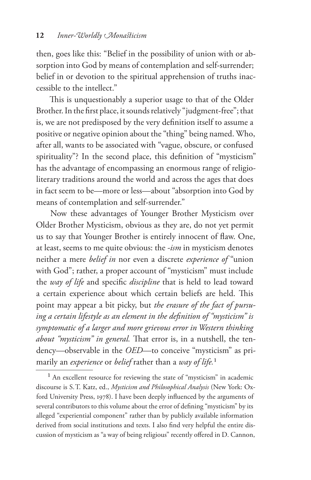then, goes like this: "Belief in the possibility of union with or absorption into God by means of contemplation and self-surrender; belief in or devotion to the spiritual apprehension of truths inaccessible to the intellect."

This is unquestionably a superior usage to that of the Older Brother. In the first place, it sounds relatively "judgment-free"; that is, we are not predisposed by the very definition itself to assume a positive or negative opinion about the "thing" being named. Who, after all, wants to be associated with "vague, obscure, or confused spirituality"? In the second place, this definition of "mysticism" has the advantage of encompassing an enormous range of religioliterary traditions around the world and across the ages that does in fact seem to be—more or less—about "absorption into God by means of contemplation and self-surrender."

Now these advantages of Younger Brother Mysticism over Older Brother Mysticism, obvious as they are, do not yet permit us to say that Younger Brother is entirely innocent of flaw. One, at least, seems to me quite obvious: the *-ism* in mysticism denotes neither a mere *belief in* nor even a discrete *experience of* "union with God"; rather, a proper account of "mysticism" must include the *way of life* and specific *discipline* that is held to lead toward a certain experience about which certain beliefs are held. This point may appear a bit picky, but *the erasure of the fact of pursuing a certain lifestyle as an element in the definition of "mysticism" is symptomatic of a larger and more grievous error in Western thinking about "mysticism" in general.* That error is, in a nutshell, the tendency—observable in the *OED*—to conceive "mysticism" as primarily an *experience* or *belief* rather than a *way of life.*

<sup>&</sup>lt;sup>1</sup> An excellent resource for reviewing the state of "mysticism" in academic discourse is S.T. Katz, ed., *Mysticism and Philosophical Analysis* (New York: Oxford University Press, 1978). I have been deeply influenced by the arguments of several contributors to this volume about the error of defining "mysticism" by its alleged "experiential component" rather than by publicly available information derived from social institutions and texts. I also find very helpful the entire discussion of mysticism as "a way of being religious" recently offered in D. Cannon,